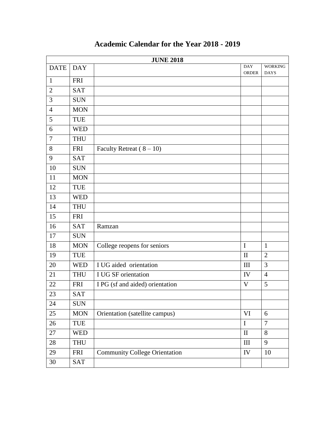|                |            | <b>JUNE 2018</b>                     |                            |                        |
|----------------|------------|--------------------------------------|----------------------------|------------------------|
| <b>DATE</b>    | <b>DAY</b> |                                      | <b>DAY</b><br><b>ORDER</b> | WORKING<br><b>DAYS</b> |
| $\mathbf{1}$   | <b>FRI</b> |                                      |                            |                        |
| $\overline{2}$ | <b>SAT</b> |                                      |                            |                        |
| 3              | <b>SUN</b> |                                      |                            |                        |
| $\overline{4}$ | <b>MON</b> |                                      |                            |                        |
| 5              | TUE        |                                      |                            |                        |
| 6              | <b>WED</b> |                                      |                            |                        |
| 7              | <b>THU</b> |                                      |                            |                        |
| 8              | <b>FRI</b> | Faculty Retreat $(8-10)$             |                            |                        |
| 9              | <b>SAT</b> |                                      |                            |                        |
| 10             | <b>SUN</b> |                                      |                            |                        |
| 11             | <b>MON</b> |                                      |                            |                        |
| 12             | <b>TUE</b> |                                      |                            |                        |
| 13             | <b>WED</b> |                                      |                            |                        |
| 14             | <b>THU</b> |                                      |                            |                        |
| 15             | <b>FRI</b> |                                      |                            |                        |
| 16             | <b>SAT</b> | Ramzan                               |                            |                        |
| 17             | <b>SUN</b> |                                      |                            |                        |
| 18             | <b>MON</b> | College reopens for seniors          | $\mathbf I$                | $\mathbf{1}$           |
| 19             | TUE        |                                      | $\mathbf{I}$               | $\overline{2}$         |
| 20             | <b>WED</b> | I UG aided orientation               | III                        | 3                      |
| 21             | <b>THU</b> | I UG SF orientation                  | IV                         | $\overline{4}$         |
| 22             | <b>FRI</b> | I PG (sf and aided) orientation      | $\mathbf V$                | 5                      |
| 23             | <b>SAT</b> |                                      |                            |                        |
| 24             | <b>SUN</b> |                                      |                            |                        |
| 25             | <b>MON</b> | Orientation (satellite campus)       | VI                         | 6                      |
| 26             | TUE        |                                      | $\bf I$                    | $\overline{7}$         |
| 27             | <b>WED</b> |                                      | $\rm II$                   | 8                      |
| 28             | <b>THU</b> |                                      | $\mathop{\rm III}$         | 9                      |
| 29             | <b>FRI</b> | <b>Community College Orientation</b> | ${\rm IV}$                 | 10                     |
| 30             | SAT        |                                      |                            |                        |

## **Academic Calendar for the Year 2018 - 2019**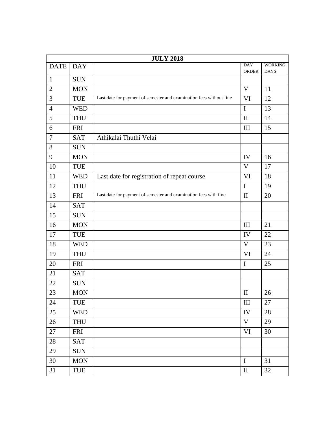|                | <b>JULY 2018</b> |                                                                     |                     |                               |  |  |  |
|----------------|------------------|---------------------------------------------------------------------|---------------------|-------------------------------|--|--|--|
| <b>DATE</b>    | <b>DAY</b>       |                                                                     | <b>DAY</b><br>ORDER | <b>WORKING</b><br><b>DAYS</b> |  |  |  |
| $\mathbf{1}$   | <b>SUN</b>       |                                                                     |                     |                               |  |  |  |
| $\overline{2}$ | <b>MON</b>       |                                                                     | V                   | 11                            |  |  |  |
| 3              | TUE              | Last date for payment of semester and examination fees without fine | <b>VI</b>           | 12                            |  |  |  |
| $\overline{4}$ | <b>WED</b>       |                                                                     | $\mathbf I$         | 13                            |  |  |  |
| 5              | <b>THU</b>       |                                                                     | $\mathbf{I}$        | 14                            |  |  |  |
| 6              | <b>FRI</b>       |                                                                     | Ш                   | 15                            |  |  |  |
| $\tau$         | <b>SAT</b>       | Athikalai Thuthi Velai                                              |                     |                               |  |  |  |
| 8              | <b>SUN</b>       |                                                                     |                     |                               |  |  |  |
| 9              | <b>MON</b>       |                                                                     | IV                  | 16                            |  |  |  |
| 10             | <b>TUE</b>       |                                                                     | V                   | 17                            |  |  |  |
| 11             | <b>WED</b>       | Last date for registration of repeat course                         | VI                  | 18                            |  |  |  |
| 12             | <b>THU</b>       |                                                                     | I                   | 19                            |  |  |  |
| 13             | <b>FRI</b>       | Last date for payment of semester and examination fees with fine    | $\mathbf{I}$        | 20                            |  |  |  |
| 14             | <b>SAT</b>       |                                                                     |                     |                               |  |  |  |
| 15             | <b>SUN</b>       |                                                                     |                     |                               |  |  |  |
| 16             | <b>MON</b>       |                                                                     | III                 | 21                            |  |  |  |
| 17             | <b>TUE</b>       |                                                                     | IV                  | 22                            |  |  |  |
| 18             | <b>WED</b>       |                                                                     | $\mathbf V$         | 23                            |  |  |  |
| 19             | <b>THU</b>       |                                                                     | VI                  | 24                            |  |  |  |
| 20             | <b>FRI</b>       |                                                                     | $\mathbf I$         | 25                            |  |  |  |
| 21             | <b>SAT</b>       |                                                                     |                     |                               |  |  |  |
| 22             | <b>SUN</b>       |                                                                     |                     |                               |  |  |  |
| 23             | <b>MON</b>       |                                                                     | $\mathbf{I}$        | 26                            |  |  |  |
| 24             | TUE              |                                                                     | III                 | 27                            |  |  |  |
| 25             | <b>WED</b>       |                                                                     | IV                  | 28                            |  |  |  |
| 26             | <b>THU</b>       |                                                                     | V                   | 29                            |  |  |  |
| 27             | <b>FRI</b>       |                                                                     | <b>VI</b>           | 30                            |  |  |  |
| 28             | <b>SAT</b>       |                                                                     |                     |                               |  |  |  |
| 29             | <b>SUN</b>       |                                                                     |                     |                               |  |  |  |
| 30             | <b>MON</b>       |                                                                     | $\mathbf I$         | 31                            |  |  |  |
| 31             | <b>TUE</b>       |                                                                     | $\rm II$            | 32                            |  |  |  |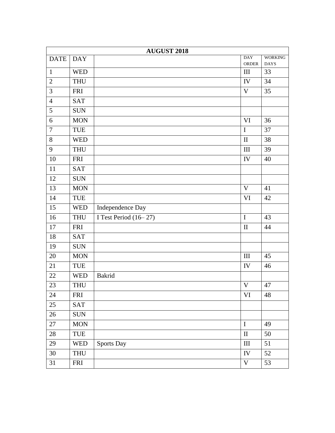|                  | <b>AUGUST 2018</b> |                       |                     |                               |  |  |
|------------------|--------------------|-----------------------|---------------------|-------------------------------|--|--|
| <b>DATE</b>      | <b>DAY</b>         |                       | <b>DAY</b><br>ORDER | <b>WORKING</b><br><b>DAYS</b> |  |  |
| $\mathbf{1}$     | <b>WED</b>         |                       | $\mathop{\rm III}$  | 33                            |  |  |
| $\overline{2}$   | <b>THU</b>         |                       | IV                  | 34                            |  |  |
| $\overline{3}$   | <b>FRI</b>         |                       | $\mathbf V$         | 35                            |  |  |
| $\overline{4}$   | <b>SAT</b>         |                       |                     |                               |  |  |
| 5                | SUN                |                       |                     |                               |  |  |
| $\boldsymbol{6}$ | <b>MON</b>         |                       | <b>VI</b>           | 36                            |  |  |
| $\tau$           | TUE                |                       | $\mathbf I$         | 37                            |  |  |
| 8                | <b>WED</b>         |                       | $\rm II$            | 38                            |  |  |
| 9                | THU                |                       | $\rm III$           | 39                            |  |  |
| 10               | <b>FRI</b>         |                       | IV                  | 40                            |  |  |
| 11               | SAT                |                       |                     |                               |  |  |
| 12               | <b>SUN</b>         |                       |                     |                               |  |  |
| 13               | <b>MON</b>         |                       | V                   | 41                            |  |  |
| 14               | TUE                |                       | VI                  | 42                            |  |  |
| 15               | <b>WED</b>         | Independence Day      |                     |                               |  |  |
| 16               | <b>THU</b>         | I Test Period (16-27) | $\mathbf I$         | 43                            |  |  |
| 17               | <b>FRI</b>         |                       | $\rm II$            | 44                            |  |  |
| 18               | <b>SAT</b>         |                       |                     |                               |  |  |
| 19               | <b>SUN</b>         |                       |                     |                               |  |  |
| 20               | <b>MON</b>         |                       | $\rm III$           | 45                            |  |  |
| 21               | TUE                |                       | ${\rm IV}$          | 46                            |  |  |
| 22               | <b>WED</b>         | Bakrid                |                     |                               |  |  |
| 23               | <b>THU</b>         |                       | $\mathbf V$         | 47                            |  |  |
| 24               | <b>FRI</b>         |                       | VI                  | 48                            |  |  |
| 25               | <b>SAT</b>         |                       |                     |                               |  |  |
| 26               | <b>SUN</b>         |                       |                     |                               |  |  |
| 27               | <b>MON</b>         |                       | $\mathbf I$         | 49                            |  |  |
| $28\,$           | TUE                |                       | $\rm II$            | 50                            |  |  |
| 29               | <b>WED</b>         | <b>Sports Day</b>     | $\rm III$           | 51                            |  |  |
| $30\,$           | <b>THU</b>         |                       | IV                  | 52                            |  |  |
| 31               | <b>FRI</b>         |                       | $\mathbf V$         | 53                            |  |  |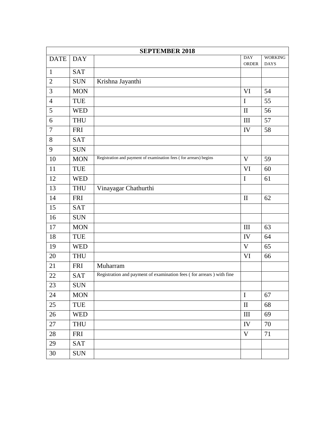|                | <b>SEPTEMBER 2018</b> |                                                                      |                     |                               |  |  |
|----------------|-----------------------|----------------------------------------------------------------------|---------------------|-------------------------------|--|--|
| <b>DATE</b>    | <b>DAY</b>            |                                                                      | <b>DAY</b><br>ORDER | <b>WORKING</b><br><b>DAYS</b> |  |  |
| $\mathbf{1}$   | <b>SAT</b>            |                                                                      |                     |                               |  |  |
| $\overline{2}$ | <b>SUN</b>            | Krishna Jayanthi                                                     |                     |                               |  |  |
| 3              | <b>MON</b>            |                                                                      | VI                  | 54                            |  |  |
| $\overline{4}$ | <b>TUE</b>            |                                                                      | $\mathbf I$         | 55                            |  |  |
| 5              | <b>WED</b>            |                                                                      | $\mathbf{I}$        | 56                            |  |  |
| 6              | <b>THU</b>            |                                                                      | III                 | 57                            |  |  |
| $\tau$         | <b>FRI</b>            |                                                                      | IV                  | 58                            |  |  |
| 8              | <b>SAT</b>            |                                                                      |                     |                               |  |  |
| 9              | <b>SUN</b>            |                                                                      |                     |                               |  |  |
| 10             | <b>MON</b>            | Registration and payment of examination fees (for arrears) begins    | V                   | 59                            |  |  |
| 11             | TUE                   |                                                                      | VI                  | 60                            |  |  |
| 12             | <b>WED</b>            |                                                                      | $\mathbf I$         | 61                            |  |  |
| 13             | <b>THU</b>            | Vinayagar Chathurthi                                                 |                     |                               |  |  |
| 14             | <b>FRI</b>            |                                                                      | $\mathbf{I}$        | 62                            |  |  |
| 15             | <b>SAT</b>            |                                                                      |                     |                               |  |  |
| 16             | <b>SUN</b>            |                                                                      |                     |                               |  |  |
| 17             | <b>MON</b>            |                                                                      | $\rm III$           | 63                            |  |  |
| 18             | <b>TUE</b>            |                                                                      | IV                  | 64                            |  |  |
| 19             | <b>WED</b>            |                                                                      | V                   | 65                            |  |  |
| 20             | <b>THU</b>            |                                                                      | VI                  | 66                            |  |  |
| 21             | <b>FRI</b>            | Muharram                                                             |                     |                               |  |  |
| 22             | <b>SAT</b>            | Registration and payment of examination fees (for arrears) with fine |                     |                               |  |  |
| 23             | <b>SUN</b>            |                                                                      |                     |                               |  |  |
| 24             | <b>MON</b>            |                                                                      | $\mathbf I$         | 67                            |  |  |
| 25             | TUE                   |                                                                      | $\rm II$            | 68                            |  |  |
| 26             | <b>WED</b>            |                                                                      | III                 | 69                            |  |  |
| 27             | <b>THU</b>            |                                                                      | IV                  | 70                            |  |  |
| 28             | <b>FRI</b>            |                                                                      | V                   | 71                            |  |  |
| 29             | <b>SAT</b>            |                                                                      |                     |                               |  |  |
| 30             | <b>SUN</b>            |                                                                      |                     |                               |  |  |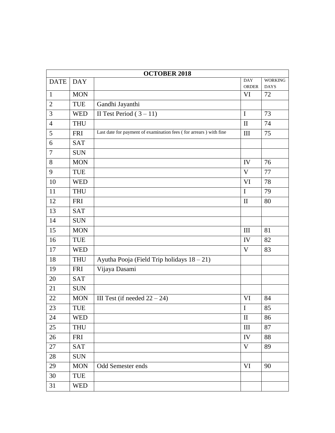| <b>OCTOBER 2018</b> |            |                                                                   |                            |                               |  |  |
|---------------------|------------|-------------------------------------------------------------------|----------------------------|-------------------------------|--|--|
| <b>DATE</b>         | <b>DAY</b> |                                                                   | <b>DAY</b><br><b>ORDER</b> | <b>WORKING</b><br><b>DAYS</b> |  |  |
| $\mathbf{1}$        | <b>MON</b> |                                                                   | VI                         | 72                            |  |  |
| $\overline{2}$      | <b>TUE</b> | Gandhi Jayanthi                                                   |                            |                               |  |  |
| 3                   | <b>WED</b> | II Test Period $(3-11)$                                           | $\mathbf I$                | 73                            |  |  |
| $\overline{4}$      | <b>THU</b> |                                                                   | $\mathbf{I}$               | 74                            |  |  |
| 5                   | <b>FRI</b> | Last date for payment of examination fees (for arrears) with fine | III                        | 75                            |  |  |
| 6                   | <b>SAT</b> |                                                                   |                            |                               |  |  |
| $\tau$              | <b>SUN</b> |                                                                   |                            |                               |  |  |
| 8                   | <b>MON</b> |                                                                   | IV                         | 76                            |  |  |
| 9                   | TUE        |                                                                   | $\mathbf V$                | 77                            |  |  |
| 10                  | <b>WED</b> |                                                                   | VI                         | 78                            |  |  |
| 11                  | <b>THU</b> |                                                                   | $\mathbf I$                | 79                            |  |  |
| 12                  | <b>FRI</b> |                                                                   | $\mathbf{I}$               | 80                            |  |  |
| 13                  | <b>SAT</b> |                                                                   |                            |                               |  |  |
| 14                  | <b>SUN</b> |                                                                   |                            |                               |  |  |
| 15                  | <b>MON</b> |                                                                   | $\mathop{\rm III}$         | 81                            |  |  |
| 16                  | TUE        |                                                                   | IV                         | 82                            |  |  |
| 17                  | <b>WED</b> |                                                                   | V                          | 83                            |  |  |
| 18                  | <b>THU</b> | Ayutha Pooja (Field Trip holidays 18 - 21)                        |                            |                               |  |  |
| 19                  | <b>FRI</b> | Vijaya Dasami                                                     |                            |                               |  |  |
| 20                  | <b>SAT</b> |                                                                   |                            |                               |  |  |
| 21                  | <b>SUN</b> |                                                                   |                            |                               |  |  |
| 22                  | <b>MON</b> | III Test (if needed $22 - 24$ )                                   | VI                         | 84                            |  |  |
| 23                  | TUE        |                                                                   | $\mathbf I$                | 85                            |  |  |
| 24                  | <b>WED</b> |                                                                   | $\mathop{\rm II}\nolimits$ | 86                            |  |  |
| 25                  | <b>THU</b> |                                                                   | III                        | 87                            |  |  |
| 26                  | <b>FRI</b> |                                                                   | IV                         | 88                            |  |  |
| 27                  | <b>SAT</b> |                                                                   | V                          | 89                            |  |  |
| 28                  | <b>SUN</b> |                                                                   |                            |                               |  |  |
| 29                  | <b>MON</b> | <b>Odd Semester ends</b>                                          | VI                         | 90                            |  |  |
| 30                  | TUE        |                                                                   |                            |                               |  |  |
| 31                  | <b>WED</b> |                                                                   |                            |                               |  |  |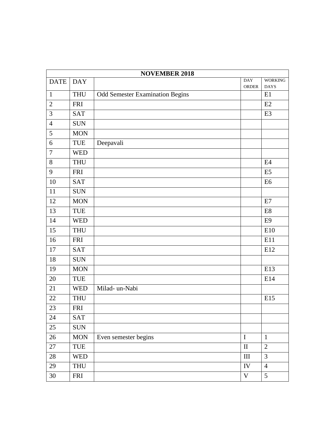|                  | <b>NOVEMBER 2018</b> |                                        |                     |                               |  |  |
|------------------|----------------------|----------------------------------------|---------------------|-------------------------------|--|--|
| <b>DATE</b>      | <b>DAY</b>           |                                        | <b>DAY</b><br>ORDER | <b>WORKING</b><br><b>DAYS</b> |  |  |
| $\mathbf{1}$     | <b>THU</b>           | <b>Odd Semester Examination Begins</b> |                     | E1                            |  |  |
| $\overline{2}$   | <b>FRI</b>           |                                        |                     | E2                            |  |  |
| 3                | <b>SAT</b>           |                                        |                     | E <sub>3</sub>                |  |  |
| $\overline{4}$   | <b>SUN</b>           |                                        |                     |                               |  |  |
| 5                | <b>MON</b>           |                                        |                     |                               |  |  |
| $\boldsymbol{6}$ | TUE                  | Deepavali                              |                     |                               |  |  |
| $\overline{7}$   | <b>WED</b>           |                                        |                     |                               |  |  |
| $8\,$            | <b>THU</b>           |                                        |                     | E4                            |  |  |
| 9                | <b>FRI</b>           |                                        |                     | E <sub>5</sub>                |  |  |
| 10               | <b>SAT</b>           |                                        |                     | E <sub>6</sub>                |  |  |
| 11               | <b>SUN</b>           |                                        |                     |                               |  |  |
| 12               | <b>MON</b>           |                                        |                     | E7                            |  |  |
| 13               | TUE                  |                                        |                     | E8                            |  |  |
| 14               | <b>WED</b>           |                                        |                     | E <sub>9</sub>                |  |  |
| 15               | <b>THU</b>           |                                        |                     | E10                           |  |  |
| 16               | <b>FRI</b>           |                                        |                     | E11                           |  |  |
| 17               | <b>SAT</b>           |                                        |                     | E12                           |  |  |
| 18               | <b>SUN</b>           |                                        |                     |                               |  |  |
| 19               | <b>MON</b>           |                                        |                     | E13                           |  |  |
| 20               | <b>TUE</b>           |                                        |                     | E14                           |  |  |
| 21               | <b>WED</b>           | Milad- un-Nabi                         |                     |                               |  |  |
| 22               | <b>THU</b>           |                                        |                     | E15                           |  |  |
| 23               | <b>FRI</b>           |                                        |                     |                               |  |  |
| 24               | SAT                  |                                        |                     |                               |  |  |
| 25               | <b>SUN</b>           |                                        |                     |                               |  |  |
| 26               | <b>MON</b>           | Even semester begins                   | $\bf I$             | $\mathbf{1}$                  |  |  |
| 27               | TUE                  |                                        | $\rm II$            | $\mathbf{2}$                  |  |  |
| $28\,$           | <b>WED</b>           |                                        | III                 | 3                             |  |  |
| 29               | <b>THU</b>           |                                        | ${\rm IV}$          | $\overline{4}$                |  |  |
| $30\,$           | <b>FRI</b>           |                                        | $\mathbf V$         | 5                             |  |  |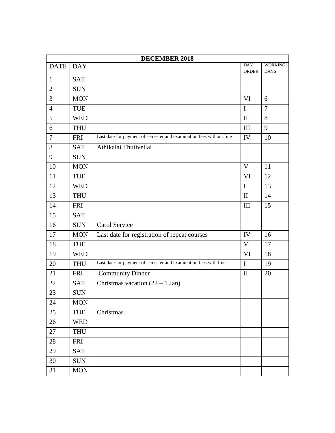|                |            | <b>DECEMBER 2018</b>                                                |                            |                               |
|----------------|------------|---------------------------------------------------------------------|----------------------------|-------------------------------|
| <b>DATE</b>    | <b>DAY</b> |                                                                     | <b>DAY</b><br><b>ORDER</b> | <b>WORKING</b><br><b>DAYS</b> |
| $\mathbf{1}$   | <b>SAT</b> |                                                                     |                            |                               |
| $\overline{2}$ | <b>SUN</b> |                                                                     |                            |                               |
| 3              | <b>MON</b> |                                                                     | <b>VI</b>                  | 6                             |
| $\overline{4}$ | <b>TUE</b> |                                                                     | $\mathbf I$                | $\overline{7}$                |
| 5              | <b>WED</b> |                                                                     | $\mathbf{I}$               | 8                             |
| 6              | <b>THU</b> |                                                                     | III                        | 9                             |
| 7              | <b>FRI</b> | Last date for payment of semester and examination fees without fine | IV                         | 10                            |
| 8              | <b>SAT</b> | Athikalai Thutivellai                                               |                            |                               |
| 9              | <b>SUN</b> |                                                                     |                            |                               |
| 10             | <b>MON</b> |                                                                     | V                          | 11                            |
| 11             | TUE        |                                                                     | VI                         | 12                            |
| 12             | <b>WED</b> |                                                                     | $\mathbf I$                | 13                            |
| 13             | <b>THU</b> |                                                                     | $\mathbf{I}$               | 14                            |
| 14             | <b>FRI</b> |                                                                     | Ш                          | 15                            |
| 15             | <b>SAT</b> |                                                                     |                            |                               |
| 16             | <b>SUN</b> | Carol Service                                                       |                            |                               |
| 17             | <b>MON</b> | Last date for registration of repeat courses                        | IV                         | 16                            |
| 18             | TUE        |                                                                     | $\mathbf V$                | 17                            |
| 19             | <b>WED</b> |                                                                     | VI                         | 18                            |
| 20             | <b>THU</b> | Last date for payment of semester and examination fees with fine    | $\mathbf I$                | 19                            |
| 21             | <b>FRI</b> | <b>Community Dinner</b>                                             | $\mathbf{I}$               | 20                            |
| 22             | <b>SAT</b> | Christmas vacation $(22 – 1 Jan)$                                   |                            |                               |
| 23             | <b>SUN</b> |                                                                     |                            |                               |
| 24             | <b>MON</b> |                                                                     |                            |                               |
| 25             | <b>TUE</b> | Christmas                                                           |                            |                               |
| 26             | <b>WED</b> |                                                                     |                            |                               |
| 27             | <b>THU</b> |                                                                     |                            |                               |
| 28             | <b>FRI</b> |                                                                     |                            |                               |
| 29             | <b>SAT</b> |                                                                     |                            |                               |
| 30             | <b>SUN</b> |                                                                     |                            |                               |
| 31             | <b>MON</b> |                                                                     |                            |                               |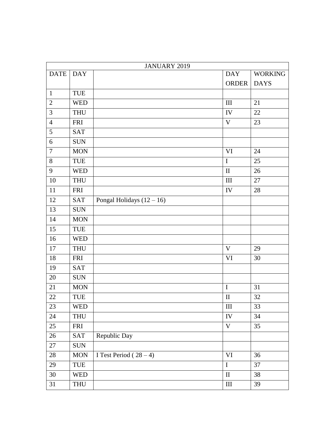|                |                             | JANUARY 2019                |              |                |
|----------------|-----------------------------|-----------------------------|--------------|----------------|
| <b>DATE</b>    | <b>DAY</b>                  |                             | <b>DAY</b>   | <b>WORKING</b> |
|                |                             |                             | <b>ORDER</b> | <b>DAYS</b>    |
| $\mathbf{1}$   | TUE                         |                             |              |                |
| $\overline{2}$ | <b>WED</b>                  |                             | III          | 21             |
| 3              | <b>THU</b>                  |                             | IV           | 22             |
| $\overline{4}$ | <b>FRI</b>                  |                             | $\mathbf V$  | 23             |
| 5              | <b>SAT</b>                  |                             |              |                |
| 6              | <b>SUN</b>                  |                             |              |                |
| $\tau$         | <b>MON</b>                  |                             | VI           | 24             |
| $8\,$          | TUE                         |                             | $\bf I$      | 25             |
| $\mathbf{9}$   | <b>WED</b>                  |                             | $\mathbf{I}$ | 26             |
| 10             | <b>THU</b>                  |                             | Ш            | 27             |
| 11             | <b>FRI</b>                  |                             | IV           | 28             |
| 12             | <b>SAT</b>                  | Pongal Holidays $(12 – 16)$ |              |                |
| 13             | <b>SUN</b>                  |                             |              |                |
| 14             | <b>MON</b>                  |                             |              |                |
| 15             | TUE                         |                             |              |                |
| 16             | <b>WED</b>                  |                             |              |                |
| 17             | <b>THU</b>                  |                             | $\mathbf V$  | 29             |
| 18             | <b>FRI</b>                  |                             | VI           | 30             |
| 19             | <b>SAT</b>                  |                             |              |                |
| 20             | <b>SUN</b>                  |                             |              |                |
| 21             | <b>MON</b>                  |                             | $\bf I$      | 31             |
| 22             | TUE                         |                             | $\mathbf{I}$ | 32             |
| 23             | <b>WED</b>                  |                             | $\rm III$    | 33             |
| 24             | <b>THU</b>                  |                             | IV           | 34             |
| 25             | <b>FRI</b>                  |                             | $\mathbf V$  | 35             |
| 26             | SAT                         | Republic Day                |              |                |
| 27             | <b>SUN</b>                  |                             |              |                |
| 28             | <b>MON</b>                  | I Test Period $(28-4)$      | <b>VI</b>    | 36             |
| 29             | $\ensuremath{\mathsf{TUE}}$ |                             | $\mathbf I$  | 37             |
| $30\,$         | <b>WED</b>                  |                             | $\mathbf{I}$ | 38             |
| 31             | THU                         |                             | $\rm III$    | 39             |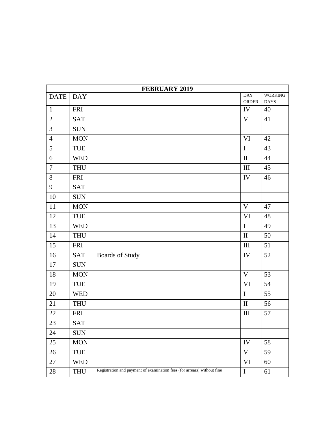|                  | <b>FEBRUARY 2019</b> |                                                                         |                             |                               |  |  |
|------------------|----------------------|-------------------------------------------------------------------------|-----------------------------|-------------------------------|--|--|
| <b>DATE</b>      | <b>DAY</b>           |                                                                         | <b>DAY</b><br><b>ORDER</b>  | <b>WORKING</b><br><b>DAYS</b> |  |  |
| $\mathbf{1}$     | <b>FRI</b>           |                                                                         | IV                          | 40                            |  |  |
| $\overline{2}$   | <b>SAT</b>           |                                                                         | $\mathbf V$                 | 41                            |  |  |
| 3                | <b>SUN</b>           |                                                                         |                             |                               |  |  |
| $\overline{4}$   | <b>MON</b>           |                                                                         | <b>VI</b>                   | 42                            |  |  |
| 5                | TUE                  |                                                                         | $\mathbf I$                 | 43                            |  |  |
| $\boldsymbol{6}$ | <b>WED</b>           |                                                                         | $\rm II$                    | 44                            |  |  |
| $\overline{7}$   | <b>THU</b>           |                                                                         | $\rm III$                   | 45                            |  |  |
| $8\,$            | <b>FRI</b>           |                                                                         | IV                          | 46                            |  |  |
| 9                | <b>SAT</b>           |                                                                         |                             |                               |  |  |
| 10               | <b>SUN</b>           |                                                                         |                             |                               |  |  |
| 11               | <b>MON</b>           |                                                                         | V                           | 47                            |  |  |
| 12               | <b>TUE</b>           |                                                                         | <b>VI</b>                   | 48                            |  |  |
| 13               | <b>WED</b>           |                                                                         | $\mathbf I$                 | 49                            |  |  |
| 14               | <b>THU</b>           |                                                                         | $\rm II$                    | 50                            |  |  |
| 15               | <b>FRI</b>           |                                                                         | III                         | 51                            |  |  |
| 16               | <b>SAT</b>           | <b>Boards of Study</b>                                                  | IV                          | 52                            |  |  |
| $17\,$           | <b>SUN</b>           |                                                                         |                             |                               |  |  |
| 18               | <b>MON</b>           |                                                                         | $\mathbf V$                 | 53                            |  |  |
| 19               | TUE                  |                                                                         | VI                          | 54                            |  |  |
| 20               | <b>WED</b>           |                                                                         | $\mathbf I$                 | 55                            |  |  |
| 21               | <b>THU</b>           |                                                                         | $\rm II$                    | 56                            |  |  |
| 22               | <b>FRI</b>           |                                                                         | $\mathop{\rm III}\nolimits$ | 57                            |  |  |
| 23               | <b>SAT</b>           |                                                                         |                             |                               |  |  |
| 24               | <b>SUN</b>           |                                                                         |                             |                               |  |  |
| 25               | <b>MON</b>           |                                                                         | IV                          | 58                            |  |  |
| 26               | TUE                  |                                                                         | $\mathbf V$                 | 59                            |  |  |
| 27               | <b>WED</b>           |                                                                         | VI                          | 60                            |  |  |
| 28               | THU                  | Registration and payment of examination fees (for arrears) without fine | $\bf I$                     | 61                            |  |  |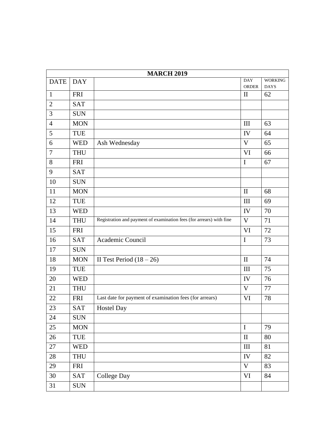| <b>MARCH 2019</b> |            |                                                                      |                            |                               |  |
|-------------------|------------|----------------------------------------------------------------------|----------------------------|-------------------------------|--|
| <b>DATE</b>       | <b>DAY</b> |                                                                      | <b>DAY</b><br><b>ORDER</b> | <b>WORKING</b><br><b>DAYS</b> |  |
| $\mathbf{1}$      | <b>FRI</b> |                                                                      | $\mathbf{I}$               | 62                            |  |
| $\overline{2}$    | <b>SAT</b> |                                                                      |                            |                               |  |
| 3                 | <b>SUN</b> |                                                                      |                            |                               |  |
| $\overline{4}$    | <b>MON</b> |                                                                      | III                        | 63                            |  |
| 5                 | TUE        |                                                                      | IV                         | 64                            |  |
| 6                 | <b>WED</b> | Ash Wednesday                                                        | $\mathbf V$                | 65                            |  |
| $\overline{7}$    | <b>THU</b> |                                                                      | <b>VI</b>                  | 66                            |  |
| 8                 | <b>FRI</b> |                                                                      | $\mathbf I$                | 67                            |  |
| 9                 | <b>SAT</b> |                                                                      |                            |                               |  |
| 10                | <b>SUN</b> |                                                                      |                            |                               |  |
| 11                | <b>MON</b> |                                                                      | $\mathbf{I}$               | 68                            |  |
| 12                | <b>TUE</b> |                                                                      | III                        | 69                            |  |
| 13                | <b>WED</b> |                                                                      | IV                         | 70                            |  |
| 14                | <b>THU</b> | Registration and payment of examination fees (for arrears) with fine | V                          | 71                            |  |
| 15                | <b>FRI</b> |                                                                      | VI                         | 72                            |  |
| 16                | <b>SAT</b> | Academic Council                                                     | $\mathbf I$                | 73                            |  |
| 17                | <b>SUN</b> |                                                                      |                            |                               |  |
| 18                | <b>MON</b> | II Test Period $(18 – 26)$                                           | $\mathbf{I}$               | 74                            |  |
| 19                | TUE        |                                                                      | III                        | 75                            |  |
| 20                | <b>WED</b> |                                                                      | IV                         | 76                            |  |
| 21                | <b>THU</b> |                                                                      | V                          | 77                            |  |
| 22                | <b>FRI</b> | Last date for payment of examination fees (for arrears)              | VI                         | 78                            |  |
| 23                | <b>SAT</b> | <b>Hostel Day</b>                                                    |                            |                               |  |
| 24                | <b>SUN</b> |                                                                      |                            |                               |  |
| 25                | <b>MON</b> |                                                                      | $\bf I$                    | 79                            |  |
| 26                | <b>TUE</b> |                                                                      | $\mathbf{I}$               | 80                            |  |
| 27                | <b>WED</b> |                                                                      | $\mathop{\rm III}$         | 81                            |  |
| $28\,$            | <b>THU</b> |                                                                      | IV                         | 82                            |  |
| 29                | <b>FRI</b> |                                                                      | $\mathbf V$                | 83                            |  |
| 30                | <b>SAT</b> | <b>College Day</b>                                                   | $\rm{VI}$                  | 84                            |  |
| 31                | <b>SUN</b> |                                                                      |                            |                               |  |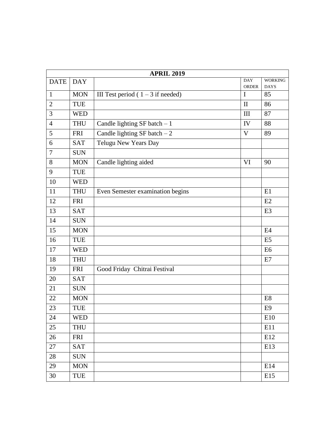|                | <b>APRIL 2019</b> |                                     |                            |                               |  |  |  |
|----------------|-------------------|-------------------------------------|----------------------------|-------------------------------|--|--|--|
| <b>DATE</b>    | <b>DAY</b>        |                                     | <b>DAY</b><br><b>ORDER</b> | <b>WORKING</b><br><b>DAYS</b> |  |  |  |
| $\mathbf{1}$   | <b>MON</b>        | III Test period $(1 – 3$ if needed) | $\mathbf I$                | 85                            |  |  |  |
| $\overline{2}$ | TUE               |                                     | $\mathbf{I}$               | 86                            |  |  |  |
| 3              | <b>WED</b>        |                                     | III                        | 87                            |  |  |  |
| $\overline{4}$ | <b>THU</b>        | Candle lighting $SF$ batch $-1$     | IV                         | 88                            |  |  |  |
| 5              | <b>FRI</b>        | Candle lighting SF batch $-2$       | V                          | 89                            |  |  |  |
| 6              | <b>SAT</b>        | Telugu New Years Day                |                            |                               |  |  |  |
| $\overline{7}$ | <b>SUN</b>        |                                     |                            |                               |  |  |  |
| 8              | <b>MON</b>        | Candle lighting aided               | VI                         | 90                            |  |  |  |
| 9              | <b>TUE</b>        |                                     |                            |                               |  |  |  |
| 10             | <b>WED</b>        |                                     |                            |                               |  |  |  |
| 11             | <b>THU</b>        | Even Semester examination begins    |                            | E1                            |  |  |  |
| 12             | <b>FRI</b>        |                                     |                            | E2                            |  |  |  |
| 13             | <b>SAT</b>        |                                     |                            | E <sub>3</sub>                |  |  |  |
| 14             | <b>SUN</b>        |                                     |                            |                               |  |  |  |
| 15             | <b>MON</b>        |                                     |                            | E <sub>4</sub>                |  |  |  |
| 16             | TUE               |                                     |                            | E <sub>5</sub>                |  |  |  |
| 17             | <b>WED</b>        |                                     |                            | E <sub>6</sub>                |  |  |  |
| 18             | <b>THU</b>        |                                     |                            | E7                            |  |  |  |
| 19             | <b>FRI</b>        | Good Friday Chitrai Festival        |                            |                               |  |  |  |
| 20             | <b>SAT</b>        |                                     |                            |                               |  |  |  |
| 21             | <b>SUN</b>        |                                     |                            |                               |  |  |  |
| 22             | <b>MON</b>        |                                     |                            | E8                            |  |  |  |
| 23             | TUE               |                                     |                            | E <sub>9</sub>                |  |  |  |
| 24             | <b>WED</b>        |                                     |                            | E10                           |  |  |  |
| 25             | <b>THU</b>        |                                     |                            | E11                           |  |  |  |
| 26             | <b>FRI</b>        |                                     |                            | E12                           |  |  |  |
| 27             | <b>SAT</b>        |                                     |                            | E13                           |  |  |  |
| 28             | <b>SUN</b>        |                                     |                            |                               |  |  |  |
| 29             | <b>MON</b>        |                                     |                            | E14                           |  |  |  |
| 30             | <b>TUE</b>        |                                     |                            | E15                           |  |  |  |